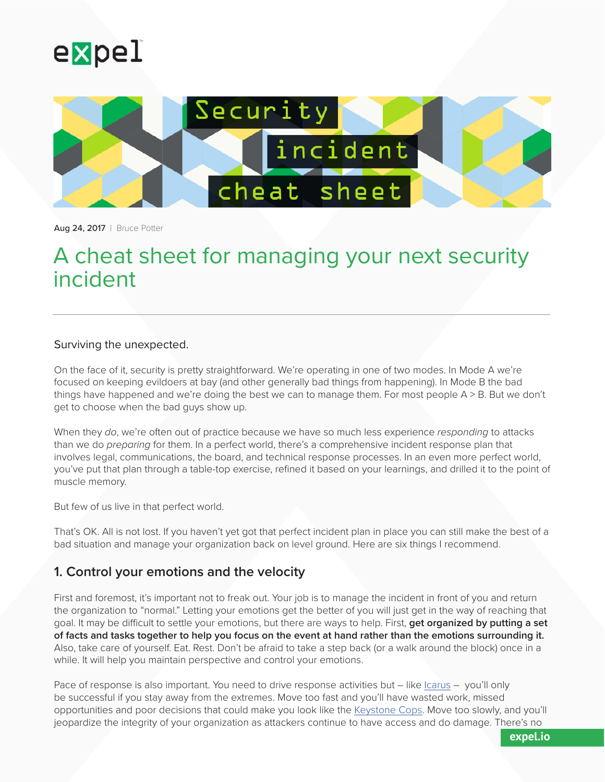



Aug 24, 2017 | Bruce Potter

# A cheat sheet for managing your next security incident

#### Surviving the unexpected.

On the face of it, security is pretty straightforward. We're operating in one of two modes. In Mode A we're focused on keeping evildoers at bay (and other generally bad things from happening). In Mode B the bad things have happened and we're doing the best we can to manage them. For most people A > B. But we don't get to choose when the bad guys show up.

When they *do*, we're often out of practice because we have so much less experience *responding* to attacks than we do *preparing* for them. In a perfect world, there's a comprehensive incident response plan that involves legal, communications, the board, and technical response processes. In an even more perfect world, you've put that plan through a table-top exercise, refined it based on your learnings, and drilled it to the point of muscle memory.

But few of us live in that perfect world.

That's OK. All is not lost. If you haven't yet got that perfect incident plan in place you can still make the best of a bad situation and manage your organization back on level ground. Here are six things I recommend.

#### **1. Control your emotions and the velocity**

First and foremost, it's important not to freak out. Your job is to manage the incident in front of you and return the organization to "normal." Letting your emotions get the better of you will just get in the way of reaching that goal. It may be difficult to settle your emotions, but there are ways to help. First, **get organized by putting a set of facts and tasks together to help you focus on the event at hand rather than the emotions surrounding it.** Also, take care of yourself. Eat. Rest. Don't be afraid to take a step back (or a walk around the block) once in a while. It will help you maintain perspective and control your emotions.

Pace of response is also important. You need to drive response activities but – like [Icarus](https://en.wikipedia.org/wiki/Icarus) – you'll only be successful if you stay away from the extremes. Move too fast and you'll have wasted work, missed opportunities and poor decisions that could make you look like the [Keystone Cops](https://youtu.be/Sx9Tovevx6w). Move too slowly, and you'll jeopardize the integrity of your organization as attackers continue to have access and do damage. There's no

**expel.io**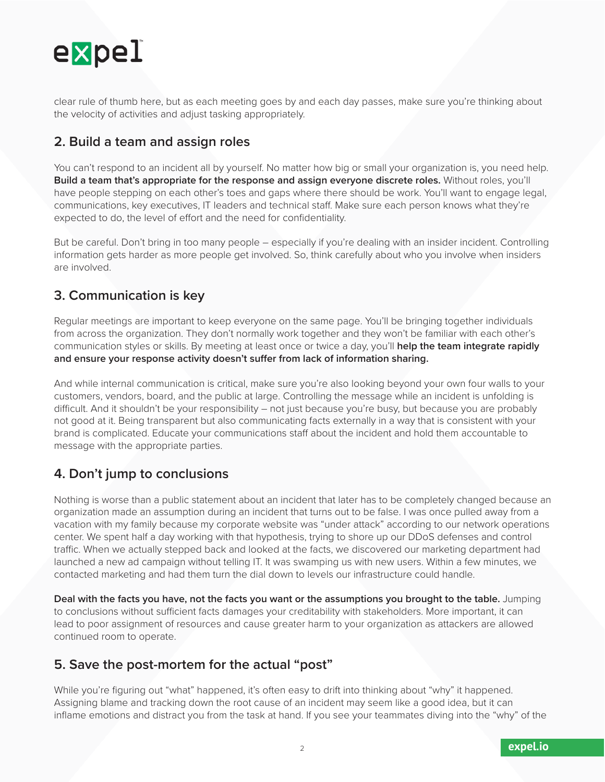

clear rule of thumb here, but as each meeting goes by and each day passes, make sure you're thinking about the velocity of activities and adjust tasking appropriately.

### **2. Build a team and assign roles**

You can't respond to an incident all by yourself. No matter how big or small your organization is, you need help. **Build a team that's appropriate for the response and assign everyone discrete roles.** Without roles, you'll have people stepping on each other's toes and gaps where there should be work. You'll want to engage legal, communications, key executives, IT leaders and technical staff. Make sure each person knows what they're expected to do, the level of effort and the need for confidentiality.

But be careful. Don't bring in too many people – especially if you're dealing with an insider incident. Controlling information gets harder as more people get involved. So, think carefully about who you involve when insiders are involved.

### **3. Communication is key**

Regular meetings are important to keep everyone on the same page. You'll be bringing together individuals from across the organization. They don't normally work together and they won't be familiar with each other's communication styles or skills. By meeting at least once or twice a day, you'll **help the team integrate rapidly and ensure your response activity doesn't suffer from lack of information sharing.**

And while internal communication is critical, make sure you're also looking beyond your own four walls to your customers, vendors, board, and the public at large. Controlling the message while an incident is unfolding is difficult. And it shouldn't be your responsibility – not just because you're busy, but because you are probably not good at it. Being transparent but also communicating facts externally in a way that is consistent with your brand is complicated. Educate your communications staff about the incident and hold them accountable to message with the appropriate parties.

### **4. Don't jump to conclusions**

Nothing is worse than a public statement about an incident that later has to be completely changed because an organization made an assumption during an incident that turns out to be false. I was once pulled away from a vacation with my family because my corporate website was "under attack" according to our network operations center. We spent half a day working with that hypothesis, trying to shore up our DDoS defenses and control traffic. When we actually stepped back and looked at the facts, we discovered our marketing department had launched a new ad campaign without telling IT. It was swamping us with new users. Within a few minutes, we contacted marketing and had them turn the dial down to levels our infrastructure could handle.

**Deal with the facts you have, not the facts you want or the assumptions you brought to the table.** Jumping to conclusions without sufficient facts damages your creditability with stakeholders. More important, it can lead to poor assignment of resources and cause greater harm to your organization as attackers are allowed continued room to operate.

## **5. Save the post-mortem for the actual "post"**

While you're figuring out "what" happened, it's often easy to drift into thinking about "why" it happened. Assigning blame and tracking down the root cause of an incident may seem like a good idea, but it can inflame emotions and distract you from the task at hand. If you see your teammates diving into the "why" of the